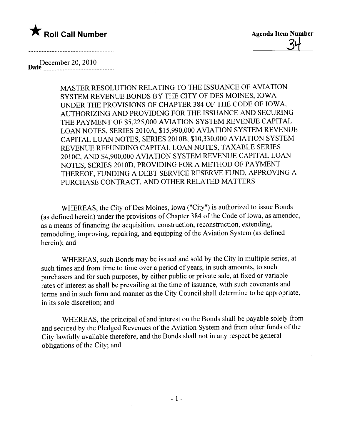



December 20, 2010<br>mate

MASTER RESOLUTION RELATING TO THE ISSUANCE OF AVIATION SYSTEM REVENUE BONDS BY THE CITY OF DES MOINES, IOWA UNER THE PROVISIONS OF CHAPTER 384 OF THE CODE OF IOWA, AUTHORIZING AND PROVIDING FOR THE ISSUANCE AND SECURING THE PAYMENT OF \$5,225,000 AVIATION SYSTEM REVENUE CAPITAL LOAN NOTES, SERIES 20lOA, \$15,990,000 AVIATION SYSTEM REVENUE CAPITAL LOAN NOTES, SERIES 2010B, \$10,330,000 AVIATION SYSTEM REVENUE REFUNDING CAPITAL LOAN NOTES, TAXABLE SERIES 2010C, AND \$4,900,000 AVIATION SYSTEM REVENUE CAPITAL LOAN NOTES, SERIES 2010D, PROVIDING FOR A METHOD OF PAYMENT THEREOF, FUNDING A DEBT SERVICE RESERVE FUND, APPROVING A PURCHASE CONTRACT, AND OTHER RELATED MATTERS

WHEREAS, the City of Des Moines, Iowa ("City") is authorized to issue Bonds (as defined herein) under the provisions of Chapter 384 of the Code of Iowa, as amended, as a means of financing the acquisition, construction, reconstruction, extending, remodeling, improving, repairing, and equipping of the Aviation System (as defined herein); and

WHEREAS, such Bonds may be issued and sold by the City in multiple series, at such times and from time to time over a period of years, in such amounts, to such purchasers and for such purposes, by either public or private sale, at fixed or variable rates of interest as shall be prevailing at the time of issuance, with such covenants and terms and in such form and manner as the City Council shall determine to be appropriate, in its sole discretion; and

WHEREAS, the principal of and interest on the Bonds shall be payable solely from and secured by the Pledged Revenues of the Aviation System and from other funds of the City lawfully available therefore, and the Bonds shall not in any respect be general obligations of the City; and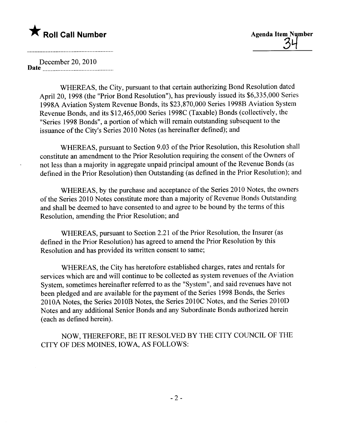# $\bigstar$  Roll Call Number  $\bigstar$   $\bigstar$   $\bigstar$   $\bigstar$   $\bigstar$   $\bigstar$   $\bigstar$   $\bigstar$   $\bigstar$   $\bigstar$   $\bigstar$   $\bigstar$   $\bigstar$   $\bigstar$   $\bigstar$   $\bigstar$   $\bigstar$   $\bigstar$   $\bigstar$   $\bigstar$   $\bigstar$   $\bigstar$   $\bigstar$   $\bigstar$   $\bigstar$   $\bigstar$   $\bigstar$   $\bigstar$   $\bigstar$   $\bigstar$   $\bigstar$   $\bigstar$   $\bigstar$

December 20,2010 Date nn\_ \_ \_\_00 \_ 00\_00\_ \_ \_ \_\_\_0000 \_ \_ \_ \_ \_ \_ 00\_0000 \_ \_00\_

and a complete the contract of the complete the contract of the contract of the contract of the contract of th

WHEREAS, the City, pursuant to that certain authorizing Bond Resolution dated April 20, 1998 (the "Prior Bond Resolution"), has previously issued its \$6,335,000 Series 1998A Aviation System Revenue Bonds, its \$23,870,000 Series 1998B Aviation System Revenue Bonds, and its \$12,465,000 Series 1998C (Taxable) Bonds (collectively, the "Series 1998 Bonds", a portion of which will remain outstanding subsequent to the issuance of the City's Series 2010 Notes (as hereinafter defined); and

WHEREAS, pursuant to Section 9.03 of the Prior Resolution, this Resolution shall constitute an amendment to the Prior Resolution requiring the consent of the Owners of not less than a majority in aggregate unpaid principal amount of the Revenue Bonds (as defined in the Prior Resolution) then Outstanding (as defined in the Prior Resolution); and

WHEREAS, by the purchase and acceptance of the Series 2010 Notes, the owners of the Series 2010 Notes constitute more than a majority of Revenue Bonds Outstanding and shall be deemed to have consented to and agree to be bound by the terms of this Resolution, amending the Prior Resolution; and

WHEREAS, pursuant to Section 2.21 of the Prior Resolution, the Insurer (as defined in the Prior Resolution) has agreed to amend the Prior Resolution by this Resolution and has provided its written consent to same;

WHEREAS, the City has heretofore established charges, rates and rentals for services which are and will continue to be collected as system revenues of the Aviation System, sometimes hereinafter referred to as the "System", and said revenues have not been pledged and are available for the payment of the Series 1998 Bonds, the Series 2010A Notes, the Series 2010B Notes, the Series 2010C Notes, and the Series 2010D Notes and any additional Senior Bonds and any Subordinate Bonds authorized herein (each as defined herein).

NOW, THEREFORE, BE IT RESOLVED BY THE CITY COUNCIL OF THE CITY OF DES MOINES, IOWA, AS FOLLOWS: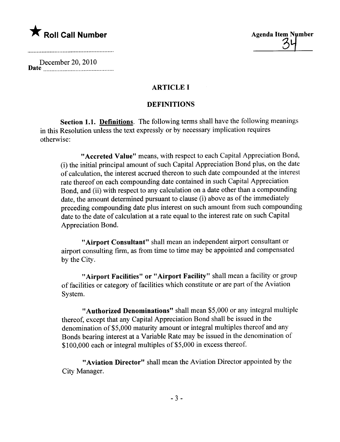December 20,2010 Date \_\_ \_ nn\_n\_\_.nnn\_ \_ 00 \_ 00\_0000000000000000\_

and the contract of the contract of the contract of the contract of the contract of the contract of the contract of

### ARTICLE I

### **DEFINITIONS**

Section 1.1. Definitions. The following terms shall have the following meanings in this Resolution unless the text expressly or by necessary implication requires otherwise:

"Accreted Value" means, with respect to each Capital Appreciation Bond, (i) the initial principal amount of such Capital Appreciation Bond plus, on the date of calculation, the interest accrued thereon to such date compounded at the interest rate thereof on each compounding date contained in such Capital Appreciation Bond, and (ii) with respect to any calculation on a date other than a compounding date, the amount determined pursuant to clause (i) above as of the immediately preceding compounding date plus interest on such amount from such compounding date to the date of calculation at a rate equal to the interest rate on such Capital Appreciation Bond.

"Airport Consultant" shall mean an independent airport consultant or airport consulting firm, as from time to time may be appointed and compensated by the City.

"Airport Facilities" or "Airport Facility" shall mean a facility or group of facilties or category of facilities which constitute or are part of the Aviation System.

"Authorized Denominations" shall mean \$5,000 or any integral multiple thereof, except that any Capital Appreciation Bond shall be issued in the denomination of \$5,000 maturity amount or integral multiples thereof and any Bonds bearing interest at a Variable Rate may be issued in the denomination of \$100,000 each or integral multiples of \$5,000 in excess thereof.

"Aviation Director" shall mean the Aviation Director appointed by the City Manager.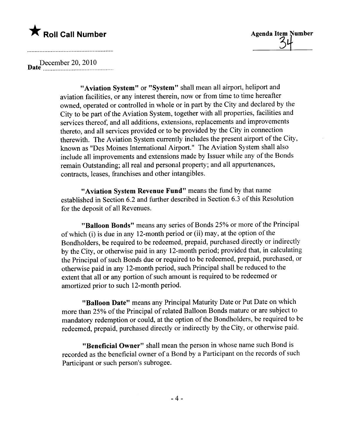<u>3</u>

D December 20, 2010 ate \_ \_\_\_ \_... \_ \_nnnnnnn\_n\_\_ \_ \_ \_ \_ 0000\_ \_ \_00\_\_

"Aviation System" or "System" shall mean all airport, heliport and aviation facilties, or any interest therein, now or from time to time hereafter owned, operated or controlled in whole or in part by the City and declared by the City to be part of the Aviation System, together with all properties, facilties and services thereof, and all additions, extensions, replacements and improvements thereto, and all services provided or to be provided by the City in connection therewith. The Aviation System currently includes the present airport of the City, known as "Des Moines International Airport." The Aviation System shall also include all improvements and extensions made by Issuer while any of the Bonds remain Outstanding; all real and personal property; and all appurtenances, contracts, leases, franchises and other intangibles.

"Aviation System Revenue Fund" means the fund by that name established in Section 6.2 and further described in Section 6.3 of this Resolution for the deposit of all Revenues.

"Balloon Bonds" means any series of Bonds 25% or more of the Principal of which (i) is due in any 12-month period or (ii) may, at the option of the Bondholders, be required to be redeemed, prepaid, purchased directly or indirectly by the City, or otherwise paid in any 12-month period; provided that, in calculating the Principal of such Bonds due or required to be redeemed, prepaid, purchased, or otherwise paid in any 12-month period, such Principal shall be reduced to the extent that all or any portion of such amount is required to be redeemed or amortized prior to such 12-month period.

"Balloon Date" means any Principal Maturity Date or Put Date on which more than 25% of the Principal of related Balloon Bonds mature or are subject to mandatory redemption or could, at the option of the Bondholders, be required to be redeemed, prepaid, purchased directly or indirectly by the City, or otherwise paid.

"Beneficial Owner" shall mean the person in whose name such Bond is recorded as the beneficial owner of a Bond by a Participant on the records of such Participant or such person's subrogee.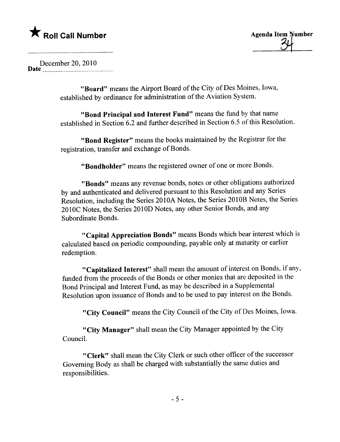December 20,2010 Date \_\_\_n \_ \_ \_0000\_ \_ \_0000 \_\_\_00\_ \_\_\_00000000\_ \_ \_ \_00..

> "Board" means the Airport Board of the City of Des Moines, Iowa, established by ordinance for administration of the Aviation System.

"Bond Principal and Interest Fund" means the fund by that name established in Section 6.2 and further described in Section 6.5 of this Resolution.

"Bond Register" means the books maintained by the Registrar for the registration, transfer and exchange of Bonds.

"Bondholder" means the registered owner of one or more Bonds.

"Bonds" means any revenue bonds, notes or other obligations authorized by and authenticated and delivered pursuant to this Resolution and any Series Resolution, including the Series 2010A Notes, the Series 2010B Notes, the Series 2010C Notes, the Series 2010D Notes, any other Senior Bonds, and any Subordinate Bonds.

"Capital Appreciation Bonds" means Bonds which bear interest which is calculated based on periodic compounding, payable only at maturity or earlier redemption.

"Capitalized Interest" shall mean the amount of interest on Bonds, if any, funded from the proceeds of the Bonds or other monies that are deposited in the Bond Principal and Interest Fund, as may be described in a Supplemental Resolution upon issuance of Bonds and to be used to pay interest on the Bonds.

"City Council" means the City Council of the City of Des Moines, Iowa.

"City Manager" shall mean the City Manager appointed by the City CounciL.

"Clerk" shall mean the City Clerk or such other officer of the successor Governing Body as shall be charged with substantially the same duties and responsibilities.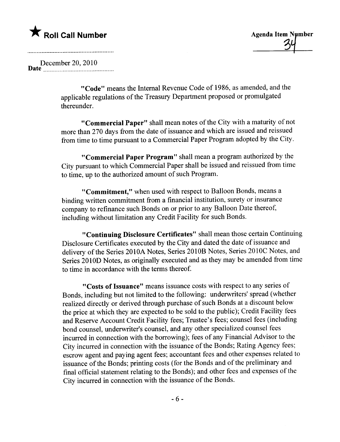December 20, 2010 Date n\_\_nnn\_ \_ 00\_ \_00\_ \_ \_. \_ \_ \_ \_ \_ \_ \_ \_ \_. \_ \_ 00 \_ \_ 00 \_ \_ \_\_

> "Code" means the Internal Revenue Code of 1986, as amended, and the applicable regulations of the Treasury Department proposed or promulgated thereunder.

"Commercial Paper" shall mean notes of the City with a maturity of not more than 270 days from the date of issuance and which are issued and reissued from time to time pursuant to a Commercial Paper Program adopted by the City.

"Commercial Paper Program" shall mean a program authorized by the City pursuant to which Commercial Paper shall be issued and reissued from time to time, up to the authorized amount of such Program.

"Commitment," when used with respect to Balloon Bonds, means a binding written commitment from a financial institution, surety or insurance company to refinance such Bonds on or prior to any Balloon Date thereof, including without limitation any Credit Facility for such Bonds.

"Continuing Disclosure Certificates" shall mean those certain Continuing Disclosure Certificates executed by the City and dated the date of issuance and delivery of the Series 2010A Notes, Series 2010B Notes, Series 2010C Notes, and Series 2010D Notes, as originally executed and as they may be amended from time to time in accordance with the terms thereof.

"Costs of Issuance" means issuance costs with respect to any series of Bonds, including but not limited to the following: underwriters' spread (whether realized directly or derived through purchase of such Bonds at a discount below the price at which they are expected to be sold to the public); Credit Facility fees and Reserve Account Credit Facilty fees; Trustee's fees; counsel fees (including bond counsel, underwriter's counsel, and any other specialized counsel fees incurred in connection with the borrowing); fees of any Financial Advisor to the City incurred in connection with the issuance of the Bonds; Rating Agency fees; escrow agent and paying agent fees; accountant fees and other expenses related to issuance of the Bonds; printing costs (for the Bonds and of the preliminary and final official statement relating to the Bonds); and other fees and expenses of the City incurred in connection with the issuance of the Bonds.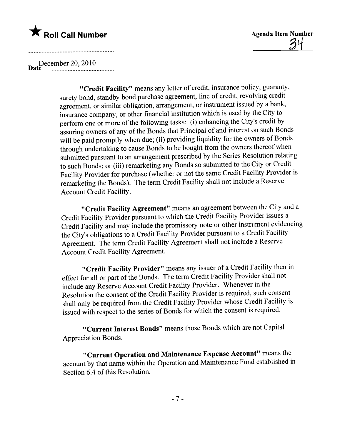$34~$ 

Datl\_~~\_~~~~~?~~\_ .~~ \_~ \_~\_\_\_m \_m\_

"Credit Facility" means any letter of credit, insurance policy, guaranty, surety bond, standby bond purchase agreement, line of credit, revolving credit agreement, or similar obligation, arrangement, or instrument issued by a bank, insurance company, or other financial institution which is used by the City to perform one or more of the following tasks: (i) enhancing the City's credit by assuring owners of any of the Bonds that Principal of and interest on such Bonds will be paid promptly when due; (ii) providing liquidity for the owners of Bonds through undertaking to cause Bonds to be bought from the owners thereof when submitted pursuant to an arrangement prescribed by the Series Resolution relating to such Bonds; or (iii) remarketing any Bonds so submitted to the City or Credit Facilty Provider for purchase (whether or not the same Credit Facility Provider is remarketing the Bonds). The term Credit Facility shall not include a Reserve Account Credit Facilty.

"Credit Facilty Agreement" means an agreement between the City and a Credit Facilty Provider pursuant to which the Credit Facility Provider issues a Credit Facility and may include the promissory note or other instrument evidencing the City's obligations to a Credit Facilty Provider pursuant to a Credit Facility Agreement. The term Credit Facilty Agreement shall not include a Reserve Account Credit Facility Agreement.

"Credit Facility Provider" means any issuer of a Credit Facility then in effect for all or part of the Bonds. The term Credit Facility Provider shall not include any Reserve Account Credit Facilty Provider. Whenever in the Resolution the consent of the Credit Facility Provider is required, such consent shall only be required from the Credit Facility Provider whose Credit Facilty is issued with respect to the series of Bonds for which the consent is required.

"Current Interest Bonds" means those Bonds which are not Capital Appreciation Bonds.

"Current Operation and Maintenance Expense Account" means the account by that name within the Operation and Maintenance Fund established in Section 6.4 of this Resolution.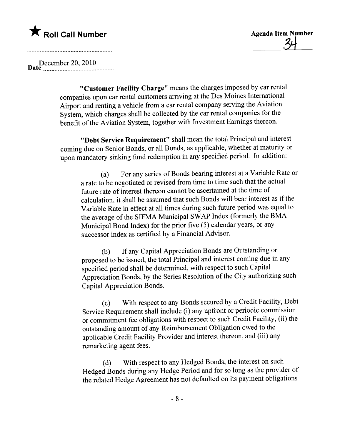x Roll Call Number<br>34<br>34

DatP~~~~~\_~\_~?~\_'\_?~\_ ~\_~nm m\_\_\_

"Customer Facilty Charge" means the charges imposed by car rental companies upon car rental customers arriving at the Des Moines International Airport and renting a vehicle from a car rental company serving the Aviation System, which charges shall be collected by the car rental companies for the benefit of the Aviation System, together with Investment Earnings thereon.

"Debt Service Requirement" shall mean the total Principal and interest coming due on Senior Bonds, or all Bonds, as applicable, whether at maturity or upon mandatory sinking fund redemption in any specified period. In addition:

(a) For any series of Bonds bearing interest at a Variable Rate or a rate to be negotiated or revised from time to time such that the actual future rate of interest thereon cannot be ascertained at the time of calculation, it shall be assumed that such Bonds will bear interest as if the Variable Rate in effect at all times during such future period was equal to the average of the SIFMA Municipal SWAP Index (formerly the BMA Municipal Bond Index) for the prior five (5) calendar years, or any successor index as certified by a Financial Advisor.

(b) If any Capital Appreciation Bonds are Outstanding or proposed to be issued, the total Principal and interest coming due in any specified period shall be determined, with respect to such Capital Appreciation Bonds, by the Series Resolution of the City authorizing such Capital Appreciation Bonds.

(c) With respect to any Bonds secured by a Credit Facility, Debt Service Requirement shall include (i) any upfront or periodic commission or commitment fee obligations with respect to such Credit Facilty, (ii) the outstanding amount of any Reimbursement Obligation owed to the applicable Credit Facility Provider and interest thereon, and (iii) any remarketing agent fees.

(d) With respect to any Hedged Bonds, the interest on such Hedged Bonds during any Hedge Period and for so long as the provider of the related Hedge Agreement has not defaulted on its payment obligations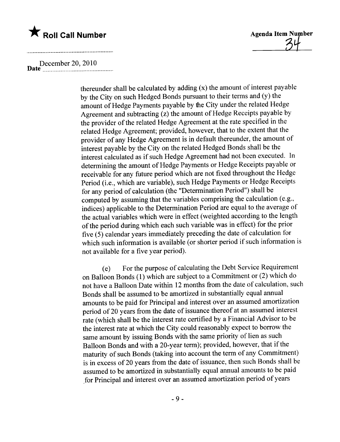### December 20, 2010 Date 00 \_ \_\_\_ \_ 00\_ un \_ 00 \_0000\_ 00 \_\_ \_ \_ \_ \_00\_ \_ - - - - 00---

thereunder shall be calculated by adding (x) the amount of interest payable by the City on such Hedged Bonds pursuant to their terms and (y) the amount of Hedge Payments payable by the City under the related Hedge Agreement and subtracting (z) the amount of Hedge Receipts payable by the provider of the related Hedge Agreement at the rate specified in the related Hedge Agreement; provided, however, that to the extent that the provider of any Hedge Agreement is in default thereunder, the amount of interest payable by the City on the related Hedged Bonds shall be the interest calculated as if such Hedge Agreement had not been executed. In determining the amount of Hedge Payments or Hedge Receipts payable or receivable for any future period which are not fixed throughout the Hedge Period (i.e., which are variable), such Hedge Payments or Hedge Receipts for any period of calculation (the "Determination Period") shall be computed by assuming that the variables comprising the calculation (e.g., indices) applicable to the Determination Period are equal to the average of the actual variables which were in effect (weighted according to the length of the period during which each such variable was in effect) for the prior five (5) calendar years immediately preceding the date of calculation for which such information is available (or shorter period if such information is not available for a five year period).

(e) F or the purpose of calculating the Debt Service Requirement on Balloon Bonds (1) which are subject to a Commitment or (2) which do not have a Balloon Date within 12 months from the date of calculation, such Bonds shall be assumed to be amortized in substantially equal annual amounts to be paid for Principal and interest over an assumed amortization period of 20 years from the date of issuance thereof at an assumed interest rate (which shall be the interest rate certified by a Financial Advisor to be the interest rate at which the City could reasonably expect to borrow the same amount by issuing Bonds with the same priority of lien as such Balloon Bonds and with a 20-year term); provided, however, that if the maturity of such Bonds (taking into account the term of any Commitment) is in excess of 20 years from the date of issuance, then such Bonds shall be assumed to be amortized in substantially equal annual amounts to be paid ,for Principal and interest over an assumed amortization period of years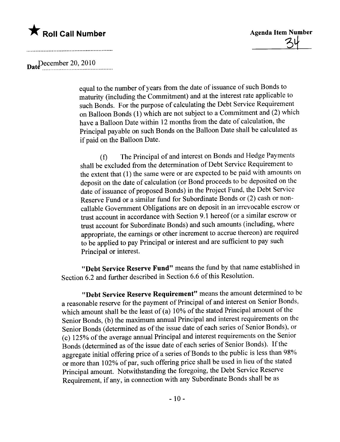$\text{Date}$ Pecember 20, 2010

equal to the number of years from the date of issuance of such Bonds to maturity (including the Commitment) and at the interest rate applicable to such Bonds. For the purpose of calculating the Debt Service Requirement on Balloon Bonds (1) which are not subject to a Commitment and (2) which have a Balloon Date within 12 months from the date of calculation, the Principal payable on such Bonds on the Balloon Date shall be calculated as if paid on the Balloon Date.

(f) The Principal of and interest on Bonds and Hedge Payments shall be excluded from the determination of Debt Service Requirement to the extent that (1) the same were or are expected to be paid with amounts on deposit on the date of calculation (or Bond proceeds to be deposited on the date of issuance of proposed Bonds) in the Project Fund, the Debt Service Reserve Fund or a similar fund for Subordinate Bonds or (2) cash or noncallable Government Obligations are on deposit in an irrevocable escrow or trust account in accordance with Section 9.1 hereof (or a similar escrow or trust account for Subordinate Bonds) and such amounts (including, where appropriate, the earnings or other increment to accrue thereon) are required to be applied to pay Principal or interest and are sufficient to pay such Principal or interest.

"Debt Service Reserve Fund" means the fund by that name established in Section 6.2 and further described in Section 6.6 of this Resolution.

"Debt Service Reserve Requirement" means the amount determined to be a reasonable reserve for the payment of Principal of and interest on Senior Bonds, which amount shall be the least of (a) 10% of the stated Principal amount of the Senior Bonds, (b) the maximum annual Principal and interest requirements on the Senior Bonds (determined as of the issue date of each series of Senior Bonds), or (c) 125% of the average annual Principal and interest requirements on the Senior Bonds (determined as of the issue date of each series of Senior Bonds). If the aggregate initial offering price of a series of Bonds to the public is less than 98% or more than 102% of par, such offering price shall be used in lieu of the stated Principal amount. Notwithstanding the foregoing, the Debt Service Reserve Requirement, if any, in connection with any Subordinate Bonds shall be as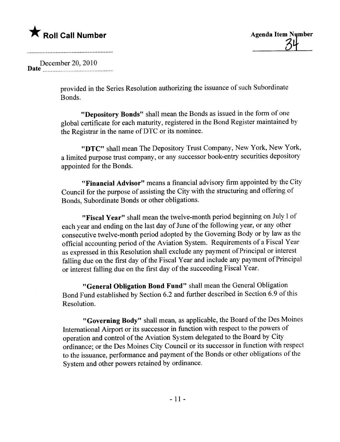December 20, 2010 Date . \_nn \_00\_0000\_ 000000.00\_ 00\_\_\_\_ \_ 0000000000\_\_

> provided in the Series Resolution authorizing the issuance of such Subordinate Bonds.

"Depository Bonds" shall mean the Bonds as issued in the form of one global certificate for each maturity, registered in the Bond Register maintained by the Registrar in the name of DTC or its nominee.

"DTC" shall mean The Depository Trust Company, New York, New York, a limited purpose trust company, or any successor book-entry securities depository appointed for the Bonds.

"Financial Advisor" means a financial advisory firm appointed by the City Council for the purpose of assisting the City with the structuring and offering of Bonds, Subordinate Bonds or other obligations.

"Fiscal Year" shall mean the twelve-month period beginning on July l of each year and ending on the last day of June of the following year, or any other consecutive twelve-month period adopted by the Governing Body or by law as the official accounting period of the Aviation System. Requirements of a Fiscal Year as expressed in this Resolution shall exclude any payment of Principal or interest falling due on the first day of the Fiscal Year and include any payment of Principal or interest falling due on the first day of the succeeding Fiscal Year.

"General Obligation Bond Fund" shall mean the General Obligation Bond Fund established by Section 6.2 and further described in Section 6.9 of this Resolution.

"Governing Body" shall mean, as applicable, the Board of the Des Moines International Airport or its successor in function with respect to the powers of operation and control of the Aviation System delegated to the Board by City ordinance; or the Des Moines City Council or its successor in function with respect to the issuance, performance and payment of the Bonds or other obligations of the System and other powers retained by ordinance.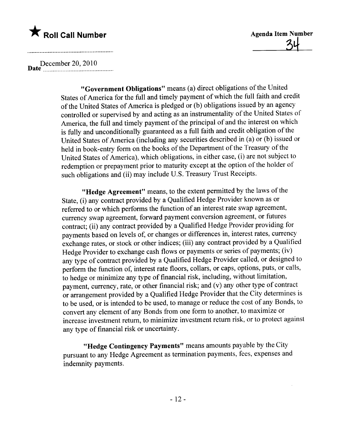**\*** Roll Call Number Agenda Item Number Agenda Item Number

D December 20, 2010 ate \_n. \_. \_00 00........... .000000\_00...... \_00\_\_\_

"Government Obligations" means (a) direct obligations of the United States of America for the full and timely payment of which the full faith and credit of the United States of America is pledged or (b) obligations issued by an agency controlled or supervised by and acting as an instrumentality of the United States of America, the full and timely payment of the principal of and the interest on which is fully and unconditionally guaranteed as a full faith and credit obligation of the United States of America (including any securities described in (a) or (b) issued or held in book-entry form on the books of the Department of the Treasury of the United States of America), which obligations, in either case, (i) are not subject to redemption or prepayment prior to maturity except at the option of the holder of such obligations and (ii) may include U.S. Treasury Trust Receipts.

"Hedge Agreement" means, to the extent permitted by the laws of the State, (i) any contract provided by a Qualified Hedge Provider known as or referred to or which performs the function of an interest rate swap agreement, currency swap agreement, forward payment conversion agreement, or futures contract; (ii) any contract provided by a Qualified Hedge Provider providing for payments based on levels of, or changes or differences in, interest rates, currency exchange rates, or stock or other indices; (iii) any contract provided by a Qualified Hedge Provider to exchange cash flows or payments or series of payments; (iv) any type of contract provided by a Qualified Hedge Provider called, or designed to perform the function of, interest rate floors, collars, or caps, options, puts, or calls, to hedge or minimize any type of financial risk, including, without limitation, payment, currency, rate, or other financial risk; and (v) any other type of contract or arrangement provided by a Qualified Hedge Provider that the City determines is to be used, or is intended to be used, to manage or reduce the cost of any Bonds, to convert any element of any Bonds from one form to another, to maximize or increase investment return, to minimize investment return risk, or to protect against any type of financial risk or uncertainty.

"Hedge Contingency Payments" means amounts payable by the City pursuant to any Hedge Agreement as termination payments, fees, expenses and indemnity payments.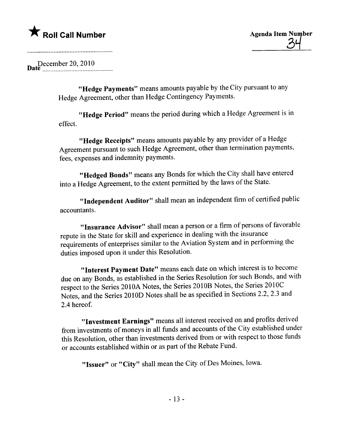December 20, 2010

"Hedge Payments" means amounts payable by the City pursuant to any Hedge Agreement, other than Hedge Contingency Payments.

"Hedge Period" means the period during which a Hedge Agreement is in effect.

"Hedge Receipts" means amounts payable by any provider of a Hedge Agreement pursuant to such Hedge Agreement, other than termination payments, fees, expenses and indemnity payments.

"Hedged Bonds" means any Bonds for which the City shall have entered into a Hedge Agreement, to the extent permitted by the laws of the State.

"Independent Auditor" shall mean an independent firm of certified public accountants.

"Insurance Advisor" shall mean a person or a firm of persons of favorable repute in the State for skil and experience in dealing with the insurance requirements of enterprises similar to the Aviation System and in performing the duties imposed upon it under this Resolution.

"Interest Payment Date" means each date on which interest is to become due on any Bonds, as established in the Series Resolution for such Bonds, and with respect to the Series 2010A Notes, the Series 20l0B Notes, the Series 2010C Notes, and the Series 2010D Notes shall be as specified in Sections 2.2, 2.3 and 2.4 hereof.

"Investment Earnings" means all interest received on and profits derived from investments of moneys in all funds and accounts of the City established under this Resolution, other than investments derived from or with respect to those funds or accounts established within or as part of the Rebate Fund.

"Issuer" or "City" shall mean the City of Des Moines, Iowa.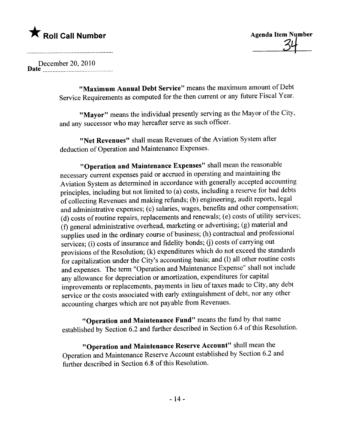\* Roll Call Number Agenda Item Number Agenda Item Number

### December 20,2010 Date .\_\_\_\_\_\_\_\_\_\_\_\_.\_\_\_\_\_\_\_\_\_\_\_\_\_\_\_\_\_\_\_\_\_\_\_\_\_\_\_\_\_\_

"Maximum Annual Debt Service" means the maximum amount of Debt Service Requirements as computed for the then current or any future Fiscal Year.

"Mayor" means the individual presently serving as the Mayor of the City, and any successor who may hereafter serve as such officer.

"Net Revenues" shall mean Revenues of the Aviation System after deduction of Operation and Maintenance Expenses.

"Operation and Maintenance Expenses" shall mean the reasonable necessary current expenses paid or accrued in operating and maintaining the Aviation System as determined in accordance with generally accepted accounting principles, including but not limited to (a) costs, including a reserve for bad debts of collecting Revenues and making refunds; (b) engineering, audit reports, legal and administrative expenses; (c) salaries, wages, benefits and other compensation; (d) costs of routine repairs, replacements and renewals; (e) costs of utilty services; (f) general administrative overhead, marketing or advertising; (g) material and supplies used in the ordinary course of business; (h) contractual and professional services; (i) costs of insurance and fidelity bonds; (j) costs of carrying out provisions of the Resolution; (k) expenditures which do not exceed the standards for capitalization under the City's accounting basis; and (1) all other routine costs and expenses. The term "Operation and Maintenance Expense" shall not include any allowance for depreciation or amortization, expenditures for capital improvements or replacements, payments in lieu of taxes made to City, any debt service or the costs associated with early extinguishment of debt, nor any other accounting charges which are not payable from Revenues.

"Operation and Maintenance Fund" means the fund by that name established by Section 6.2 and further described in Section 6.4 of this Resolution.

"Operation and Maintenance Reserve Account" shall mean the Operation and Maintenance Reserve Account established by Section 6.2 and further described in Section 6.8 of this Resolution.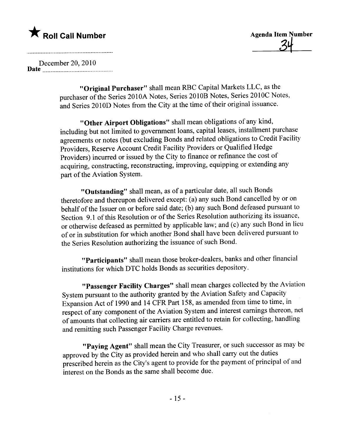<u>34</u>

December 20, 2010 Date \_un \_0000000000\_ \_ \_ \_ 00\_00\_0000\_000000\_ \_ \_00\_\_

> "Original Purchaser" shall mean RBC Capital Markets LLC, as the purchaser of the Series 2010A Notes, Series 2010B Notes, Series 2010C Notes, and Series 2010D Notes from the City at the time of their original issuance.

"Other Airport Obligations" shall mean obligations of any kind, including but not limited to government loans, capital leases, installment purchase agreements or notes (but excluding Bonds and related obligations to Credit Facility Providers, Reserve Account Credit Facility Providers or Qualified Hedge Providers) incurred or issued by the City to finance or refinance the cost of acquiring, constructing, reconstructing, improving, equipping or extending any part of the Aviation System.

"Outstanding" shall mean, as of a particular date, all such Bonds theretofore and thereupon delivered except: (a) any such Bond cancelled by or on behalf of the Issuer on or before said date; (b) any such Bond defeased pursuant to Section 9.1 of this Resolution or of the Series Resolution authorizing its issuance, or otherwise defeased as permitted by applicable law; and (c) any such Bond in lieu of or in substitution for which another Bond shall have been delivered pursuant to the Series Resolution authorizing the issuance of such Bond.

"Participants" shall mean those broker-dealers, banks and other financial institutions for which DTC holds Bonds as securities depository.

"Passenger Facility Charges" shall mean charges collected by the Aviation System pursuant to the authority granted by the Aviation Safety and Capacity Expansion Act of 1990 and 14 CFR Part 158, as amended from time to time, in respect of any component of the Aviation System and interest earnings thereon, net of amounts that collecting air carriers are entitled to retain for collecting, handling and remitting such Passenger Facilty Charge revenues.

"Paying Agent" shall mean the City Treasurer, or such successor as may be approved by the City as provided herein and who shall carry out the duties prescribed herein as the City's agent to provide for the payment of principal of and interest on the Bonds as the same shall become due.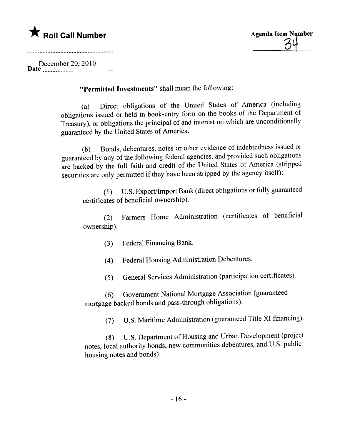

D December 20, 2010 ate n\_n \_ 00\_' 00\_00\_ \_. \_ 00\_ \_ \_00 \_ \_ \_ \_ \_ \_ .0000 \_00' \_..

"Permitted Investments" shall mean the following:

(a) Direct obligations of the United States of America (including obligations issued or held in book-entry form on the books of the Department of Treasury), or obligations the principal of and interest on which are unconditionally guaranteed by the United States of America.

(b) Bonds, debentures, notes or other evidence of indebtedness issued or guaranteed by any of the following federal agencies, and provided such obligations are backed by the full faith and credit of the United States of America (stripped securities are only permitted if they have been stripped by the agency itself):

(1) U.S. Export/Import Bank (direct obligations or fully guaranteed certificates of beneficial ownership).

(2) Farmers Home Administration (certificates of beneficial ownership).

(3) Federal Financing Bank.

(4) Federal Housing Administration Debentures.

(5) General Services Administration (participation certificates).

(6) Government National Mortgage Association (guaranteed mortgage backed bonds and pass-through obligations).

(7) U.S. Maritime Administration (guaranteed Title XI financing).

notes, local authority bonds, new communities debentures, and U.S. public U.S. Department of Housing and Urban Development (project housing notes and bonds).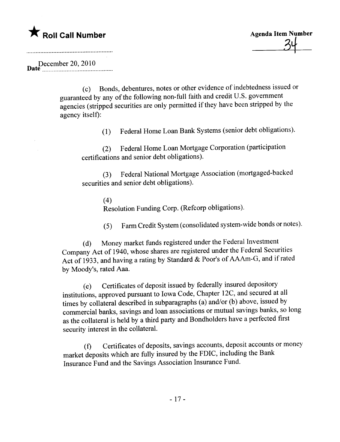$34-$ 

December 20, 2010

( c ) Bonds, debentures, notes or other evidence of indebtedness issued or guaranteed by any of the following non-full faith and credit U.S. government agencies (stripped securities are only permitted if they have been stripped by the agency itself):

(1) Federal Home Loan Bank Systems (senior debt obligations).

(2) Federal Home Loan Mortgage Corporation (participation certifications and senior debt obligations).

(3) Federal National Mortgage Association (mortgaged-backed securities and senior debt obligations).

(4)

Resolution Funding Corp. (Refcorp obligations).

(5) Farm Credit System (consolidated system-wide bonds or notes).

(d) Money market funds registered under the Federal Investment Company Act of 1940, whose shares are registered under the Federal Securities Act of 1933, and having a rating by Standard & Poor's of AAm-G, and if rated by Moody's, rated Aaa.

 $\epsilon$ ) Certificates of deposit issued by federally insured depository institutions, approved pursuant to Iowa Code, Chapter 12C, and secured at all times by collateral described in subparagraphs (a) and/or (b) above, issued by commercial banks, savings and loan associations or mutual savings banks, so long as the collateral is held by a third party and Bondholders have a perfected first security interest in the collateraL.

(f) Certificates of deposits, savings accounts, deposit accounts or money market deposits which are fully insured by the FDIC, including the Bank Insurance Fund and the Savings Association Insurance Fund.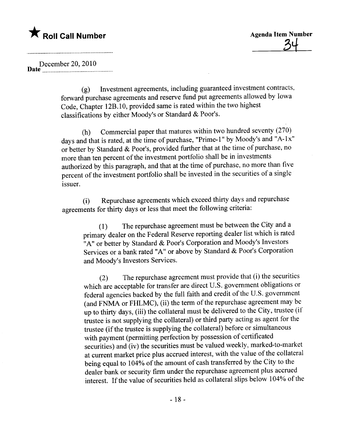### December 20, 2010 Date \_n\_ \_\_00\_00 \_ 0000\_ .000000\_00\_ \_ 00\_00 \_ 0000.. n.

(g) Investment agreements, including guaranteed investment contracts, forward purchase agreements and reserve fund put agreements allowed by Iowa Code, Chapter 12B.10, provided same is rated within the two highest classifications by either Moody's or Standard & Poor's.

(h) Commercial paper that matures within two hundred seventy (270) days and that is rated, at the time of purchase, "Prime-1" by Moody's and "A-1x" or better by Standard & Poor's, provided further that at the time of purchase, no more than ten percent of the investment portfolio shall be in investments authorized by this paragraph, and that at the time of purchase, no more than five percent of the investment portfolio shall be invested in the securities of a single issuer.

 $(i)$  Repurchase agreements which exceed thirty days and repurchase agreements for thirty days or less that meet the following criteria:

(1) The repurchase agreement must be between the City and a primary dealer on the Federal Reserve reporting dealer list which is rated "A" or better by Standard & Poor's Corporation and Moody's Investors Services or a bank rated "A" or above by Standard & Poor's Corporation and Moody's Investors Services.

(2) The repurchase agreement must provide that (i) the securities which are acceptable for transfer are direct U.S. government obligations or federal agencies backed by the full faith and credit of the U.S. government  $\left(\frac{1}{2}\right)$ (and FNMA or FHLMC), (ii) the term of the repurchase agreement may be up to thirty days, (iii) the collateral must be delivered to the City, trustee (if trustee is not supplying the collateral) or third party acting as agent for the trustee (if the trustee is supplying the collateral) before or simultaneous with payment (permitting perfection by possession of certificated securities) and (iv) the securities must be valued weekly, marked-to-market at current market price plus accrued interest, with the value of the collateral being equal to 104% of the amount of cash transferred by the City to the dealer bank or security firm under the repurchase agreement plus accrued interest. If the value of securities held as collateral slips below 104% of the